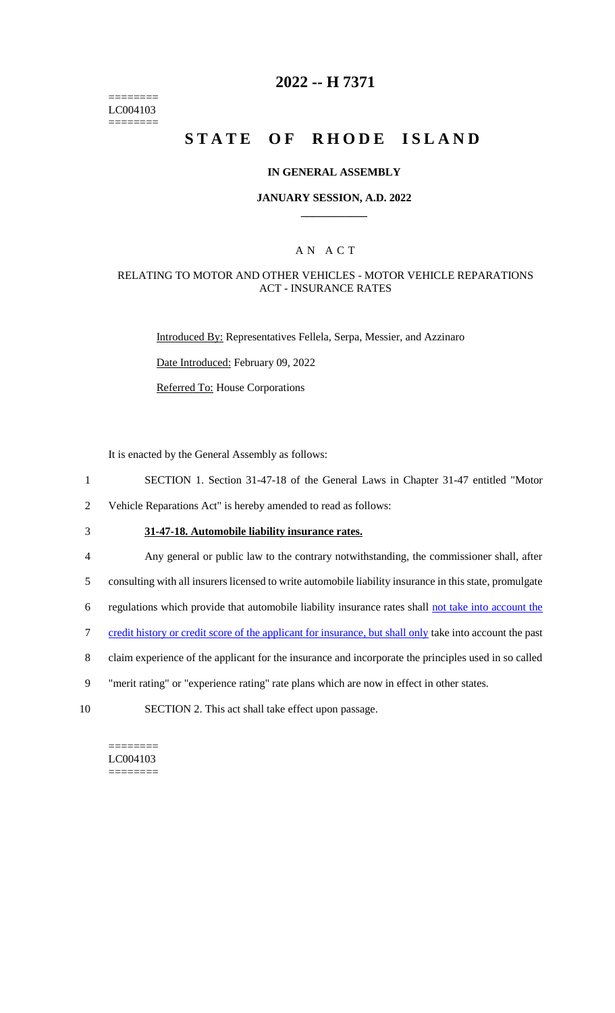======== LC004103 ========

## **2022 -- H 7371**

# **STATE OF RHODE ISLAND**

#### **IN GENERAL ASSEMBLY**

#### **JANUARY SESSION, A.D. 2022 \_\_\_\_\_\_\_\_\_\_\_\_**

### A N A C T

#### RELATING TO MOTOR AND OTHER VEHICLES - MOTOR VEHICLE REPARATIONS ACT - INSURANCE RATES

Introduced By: Representatives Fellela, Serpa, Messier, and Azzinaro

Date Introduced: February 09, 2022

Referred To: House Corporations

It is enacted by the General Assembly as follows:

- 1 SECTION 1. Section 31-47-18 of the General Laws in Chapter 31-47 entitled "Motor
- 2 Vehicle Reparations Act" is hereby amended to read as follows:
- 

# 3 **31-47-18. Automobile liability insurance rates.**

- 4 Any general or public law to the contrary notwithstanding, the commissioner shall, after
- 5 consulting with all insurers licensed to write automobile liability insurance in this state, promulgate
- 6 regulations which provide that automobile liability insurance rates shall not take into account the
- 7 credit history or credit score of the applicant for insurance, but shall only take into account the past
- 8 claim experience of the applicant for the insurance and incorporate the principles used in so called
- 9 "merit rating" or "experience rating" rate plans which are now in effect in other states.
- 10 SECTION 2. This act shall take effect upon passage.

======== LC004103 ========